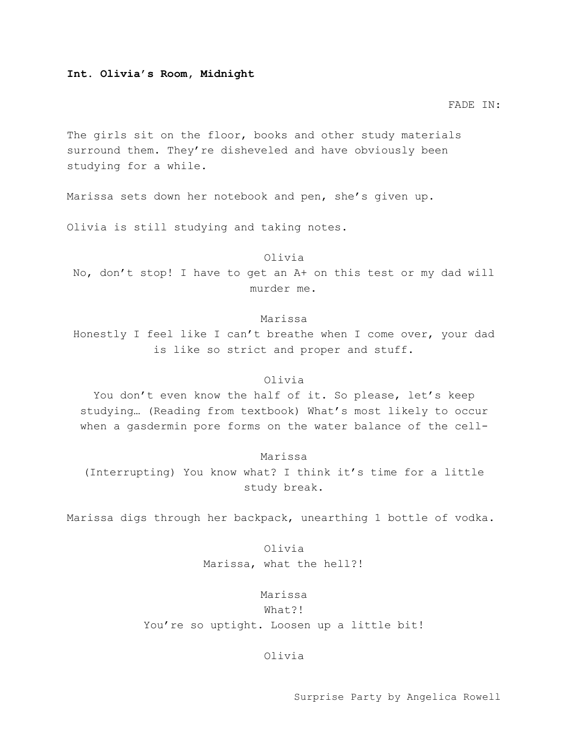## **Int. Olivia's Room, Midnight**

#### FADE IN:

The girls sit on the floor, books and other study materials surround them. They're disheveled and have obviously been studying for a while.

Marissa sets down her notebook and pen, she's given up.

Olivia is still studying and taking notes.

### Olivia

No, don't stop! I have to get an A+ on this test or my dad will murder me.

## Marissa

Honestly I feel like I can't breathe when I come over, your dad is like so strict and proper and stuff.

## Olivia

You don't even know the half of it. So please, let's keep studying… (Reading from textbook) What's most likely to occur when a gasdermin pore forms on the water balance of the cell-

#### Marissa

(Interrupting) You know what? I think it's time for a little study break.

Marissa digs through her backpack, unearthing 1 bottle of vodka.

Olivia Marissa, what the hell?!

## Marissa

### What?!

You're so uptight. Loosen up a little bit!

## Olivia

Surprise Party by Angelica Rowell